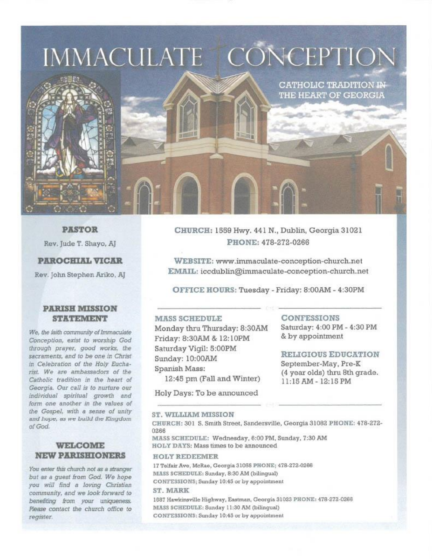# IMMACULATE CONCEPTION



**PASTOR** 

Rev. Jude T. Shayo, AJ

## **PAROCHIAL VICAR**

Rev. John Stephen Ariko, AJ

#### **PARISH MISSION STATEMENT**

We, the faith community of Immaculate Conception, exist to worship God through prayer, good works, the sacraments, and to be one in Christ in Celebration of the Holy Eucharist. We are ambassadors of the Catholic tradition in the heart of Georgia. Our call is to nurture our individual spiritual growth and form one another in the values of the Gospel, with a sense of unity and hope, as we build the Kingdom of God.

#### **WELCOME NEW PARISHIONERS**

You enter this church not as a stranger but as a quest from God. We hope you will find a loving Christian community, and we look forward to benefiting from your uniqueness. Please contact the church office to register.

CHURCH: 1559 Hwy. 441 N., Dublin, Georgia 31021 PHONE: 478-272-0266

WEBSITE: www.immaculate-conception-church.net EMAIL: iccdublin@immaculate-conception-church.net

OFFICE HOURS: Tuesday - Friday: 8:00AM - 4:30PM

#### **MASS SCHEDULE**

Monday thru Thursday: 8:30AM Friday: 8:30AM & 12:10PM Saturday Vigil: 5:00PM Sunday: 10:00AM Spanish Mass: 12:45 pm (Fall and Winter)

Holy Days: To be announced

#### **CONFESSIONS**

Saturday: 4:00 PM - 4:30 PM & by appointment

**CATHOLIC TRADITION IN-**THE HEART OF GEORGIA

#### **RELIGIOUS EDUCATION**

September-May, Pre-K (4 year olds) thru 8th grade. 11:15 AM - 12:15 PM

#### ST. WILLIAM MISSION

CHURCH: 301 S. Smith Street, Sandersville, Georgia 31082 PHONE; 478-272-0266

MASS SCHEDULE: Wednesday, 6:00 PM, Sunday, 7:30 AM HOLY DAYS: Mass times to be announced

#### **HOLY REDEEMER**

17 Telfair Ave, McRae, Georgia 31055 PHONE; 478-272-0266 MASS SCHEDULE: Sunday, 8:30 AM (bilingual) CONFESSIONS; Sunday 10:45 or by appointment ST MARK

1687 Hawkinsville Highway, Eastman, Georgia 31023 PHONE: 478-272-0266 MASS SCHEDULE: Sunday 11:30 AM (bilingual) CONFESSIONS: Sunday 10:45 or by appointment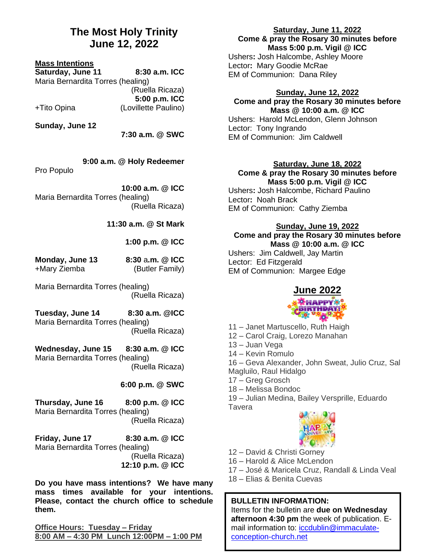## **The Most Holy Trinity June 12, 2022**

#### **Mass Intentions**

**Saturday, June 11 8:30 a.m. ICC** Maria Bernardita Torres (healing) (Ruella Ricaza) **5:00 p.m. ICC** +Tito Opina (Lovillette Paulino)

**Sunday, June 12**

**7:30 a.m. @ SWC**

 **9:00 a.m. @ Holy Redeemer** Pro Populo

**10:00 a.m. @ ICC** Maria Bernardita Torres (healing) (Ruella Ricaza)

**11:30 a.m. @ St Mark**

**1:00 p.m. @ ICC**

| Monday, June 13 | 8:30 a.m. @ ICC |
|-----------------|-----------------|
| +Mary Ziemba    | (Butler Family) |

Maria Bernardita Torres (healing) (Ruella Ricaza)

**Tuesday, June 14 8:30 a.m. @ICC** Maria Bernardita Torres (healing) (Ruella Ricaza)

**Wednesday, June 15 8:30 a.m. @ ICC** Maria Bernardita Torres (healing) (Ruella Ricaza)

### **6:00 p.m. @ SWC**

**Thursday, June 16 8:00 p.m. @ ICC** Maria Bernardita Torres (healing) (Ruella Ricaza)

**Friday, June 17 8:30 a.m. @ ICC** Maria Bernardita Torres (healing) (Ruella Ricaza) **12:10 p.m. @ ICC**

**Do you have mass intentions? We have many mass times available for your intentions. Please, contact the church office to schedule them.**

**Office Hours: Tuesday – Friday 8:00 AM – 4:30 PM Lunch 12:00PM – 1:00 PM**

### **Saturday, June 11, 2022 Come & pray the Rosary 30 minutes before Mass 5:00 p.m. Vigil @ ICC**

Ushers**:** Josh Halcombe, Ashley Moore Lector**:** Mary Goodie McRae EM of Communion: Dana Riley

#### **Sunday, June 12, 2022 Come and pray the Rosary 30 minutes before Mass @ 10:00 a.m. @ ICC**

Ushers:Harold McLendon, Glenn Johnson Lector: Tony Ingrando EM of Communion: Jim Caldwell

#### **Saturday, June 18, 2022 Come & pray the Rosary 30 minutes before Mass 5:00 p.m. Vigil @ ICC**

Ushers**:** Josh Halcombe, Richard Paulino Lector**:** Noah Brack EM of Communion: Cathy Ziemba

## **Sunday, June 19, 2022 Come and pray the Rosary 30 minutes before**

**Mass @ 10:00 a.m. @ ICC** Ushers:Jim Caldwell, Jay Martin Lector: Ed Fitzgerald EM of Communion: Margee Edge

## **June 2022 RTHDAY**

11 – Janet Martuscello, Ruth Haigh

- 12 Carol Craig, Lorezo Manahan
- 13 Juan Vega

14 – Kevin Romulo

16 – Geva Alexander, John Sweat, Julio Cruz, Sal

- Magluilo, Raul Hidalgo
- 17 Greg Grosch
- 18 Melissa Bondoc

19 – Julian Medina, Bailey Versprille, Eduardo **Tavera** 



- 12 David & Christi Gorney
- 16 Harold & Alice McLendon
- 17 José & Maricela Cruz, Randall & Linda Veal
- 18 Elias & Benita Cuevas

## **BULLETIN INFORMATION:**

Items for the bulletin are **due on Wednesday afternoon 4:30 pm** the week of publication. Email information to: [iccdublin@immaculate](mailto:iccdublin@immaculate-conception-church.net)[conception-church.net](mailto:iccdublin@immaculate-conception-church.net)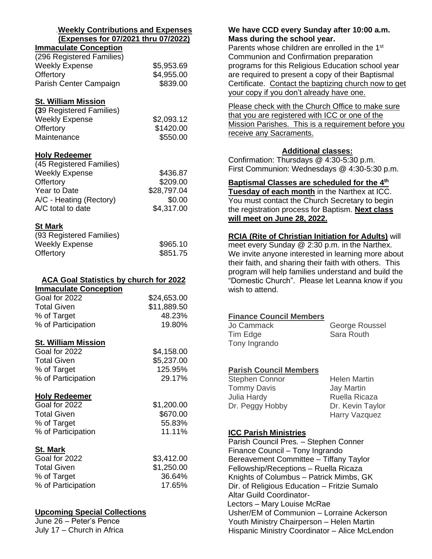#### .**Weekly Contributions and Expenses (Expenses for 07/2021 thru 07/2022)**

## **Immaculate Conception** (296 Registered Families) Weekly Expense \$5,953.69 Offertory \$4,955.00 Parish Center Campaign \$839.00

## **St. William Mission**

| (39 Registered Families) |            |
|--------------------------|------------|
| <b>Weekly Expense</b>    | \$2,093.12 |
| Offertory                | \$1420.00  |
| Maintenance              | \$550.00   |
|                          |            |

## **Holy Redeemer**

| (45 Registered Families) |             |
|--------------------------|-------------|
| <b>Weekly Expense</b>    | \$436.87    |
| Offertory                | \$209.00    |
| Year to Date             | \$28,797.04 |
| A/C - Heating (Rectory)  | \$0.00      |
| A/C total to date        | \$4,317.00  |

## **St Mark**

| (93 Registered Families) |          |
|--------------------------|----------|
| <b>Weekly Expense</b>    | \$965.10 |
| Offertory                | \$851.75 |

## **ACA Goal Statistics by church for 2022**

| <b>Immaculate Conception</b> |             |
|------------------------------|-------------|
| Goal for 2022                | \$24,653.00 |
| <b>Total Given</b>           | \$11,889.50 |
| % of Target                  | 48.23%      |
| % of Participation           | 19.80%      |
|                              |             |

## **St. William Mission**

| Goal for 2022      | \$4,158.00 |
|--------------------|------------|
| Total Given        | \$5,237.00 |
| % of Target        | 125.95%    |
| % of Participation | 29.17%     |
|                    |            |

## **Holy Redeemer**

| Goal for 2022      | \$1,200.00 |
|--------------------|------------|
| Total Given        | \$670.00   |
| % of Target        | 55.83%     |
| % of Participation | 11.11%     |

## **St. Mark**

| Goal for 2022      | \$3,412.00 |
|--------------------|------------|
| <b>Total Given</b> | \$1,250.00 |
| % of Target        | 36.64%     |
| % of Participation | 17.65%     |

## **Upcoming Special Collections**

June 26 – Peter's Pence July 17 – Church in Africa

## **We have CCD every Sunday after 10:00 a.m. Mass during the school year.**

Parents whose children are enrolled in the 1<sup>st</sup> Communion and Confirmation preparation programs for this Religious Education school year are required to present a copy of their Baptismal Certificate. Contact the baptizing church now to get your copy if you don't already have one.

Please check with the Church Office to make sure that you are registered with ICC or one of the Mission Parishes. This is a requirement before you receive any Sacraments.

## **Additional classes:**

Confirmation: Thursdays @ 4:30-5:30 p.m. First Communion: Wednesdays @ 4:30-5:30 p.m.

**Baptismal Classes are scheduled for the 4th Tuesday of each month** in the Narthex at ICC.

You must contact the Church Secretary to begin the registration process for Baptism. **Next class will meet on June 28, 2022.**

## **RCIA (Rite of Christian Initiation for Adults)** will

meet every Sunday @ 2:30 p.m. in the Narthex. We invite anyone interested in learning more about their faith, and sharing their faith with others. This program will help families understand and build the "Domestic Church". Please let Leanna know if you wish to attend.

## **Finance Council Members**

| Jo Cammack    | George Roussel |
|---------------|----------------|
| Tim Edge      | Sara Routh     |
| Tony Ingrando |                |

## **Parish Council Members**

| Stephen Connor     | <b>Helen Martin</b> |
|--------------------|---------------------|
| <b>Tommy Davis</b> | <b>Jay Martin</b>   |
| Julia Hardy        | Ruella Ricaza       |
| Dr. Peggy Hobby    | Dr. Kevin Taylor    |
|                    | Harry Vazquez       |

## **ICC Parish Ministries**

Parish Council Pres. – Stephen Conner Finance Council – Tony Ingrando Bereavement Committee – Tiffany Taylor Fellowship/Receptions – Ruella Ricaza Knights of Columbus – Patrick Mimbs, GK Dir. of Religious Education – Fritzie Sumalo Altar Guild Coordinator-Lectors – Mary Louise McRae Usher/EM of Communion – Lorraine Ackerson Youth Ministry Chairperson – Helen Martin Hispanic Ministry Coordinator – Alice McLendon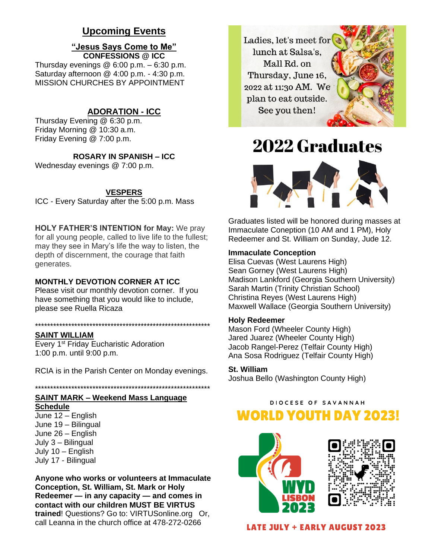## **Upcoming Events**

#### **"Jesus Says Come to Me" CONFESSIONS @ ICC**

Thursday evenings  $@6:00 p.m. - 6:30 p.m.$ Saturday afternoon @ 4:00 p.m. - 4:30 p.m. MISSION CHURCHES BY APPOINTMENT

## **ADORATION - ICC**

Thursday Evening @ 6:30 p.m. Friday Morning @ 10:30 a.m. Friday Evening @ 7:00 p.m.

**ROSARY IN SPANISH – ICC**

Wednesday evenings @ 7:00 p.m.

### **VESPERS**

ICC - Every Saturday after the 5:00 p.m. Mass

**HOLY FATHER'S INTENTION for May:** We pray for all young people, called to live life to the fullest; may they see in Mary's life the way to listen, the depth of discernment, the courage that faith generates.

### **MONTHLY DEVOTION CORNER AT ICC**

Please visit our monthly devotion corner. If you have something that you would like to include, please see Ruella Ricaza

#### \*\*\*\*\*\*\*\*\*\*\*\*\*\*\*\*\*\*\*\*\*\*\*\*\*\*\*\*\*\*\*\*\*\*\*\*\*\*\*\*\*\*\*\*\*\*\*\*\*\*\*\*\*\*\*\*\*\*

#### **SAINT WILLIAM**

Every 1<sup>st</sup> Friday Eucharistic Adoration 1:00 p.m. until 9:00 p.m.

RCIA is in the Parish Center on Monday evenings.

\*\*\*\*\*\*\*\*\*\*\*\*\*\*\*\*\*\*\*\*\*\*\*\*\*\*\*\*\*\*\*\*\*\*\*\*\*\*\*\*\*\*\*\*\*\*\*\*\*\*\*\*\*\*\*\*\*\*

## **SAINT MARK – Weekend Mass Language**

**Schedule** June 12 – English June 19 – Bilingual June 26 – English July 3 – Bilingual July 10 – English July 17 - Bilingual

**Anyone who works or volunteers at Immaculate Conception, St. William, St. Mark or Holy Redeemer — in any capacity — and comes in contact with our children MUST BE VIRTUS trained**! Questions? Go to: VIRTUSonline.org Or, call Leanna in the church office at 478-272-0266



## **2022 Graduates**



Graduates listed will be honored during masses at Immaculate Coneption (10 AM and 1 PM), Holy Redeemer and St. William on Sunday, Jude 12.

#### **Immaculate Conception**

Elisa Cuevas (West Laurens High) Sean Gorney (West Laurens High) Madison Lankford (Georgia Southern University) Sarah Martin (Trinity Christian School) Christina Reyes (West Laurens High) Maxwell Wallace (Georgia Southern University)

#### **Holy Redeemer**

Mason Ford (Wheeler County High) Jared Juarez (Wheeler County High) Jacob Rangel-Perez (Telfair County High) Ana Sosa Rodriguez (Telfair County High)

#### **St. William**

Joshua Bello (Washington County High)

## DIOCESE OF SAVANNAH

## **WORLD YOUTH DAY 2023!**





**LATE JULY + EARLY AUGUST 2023**